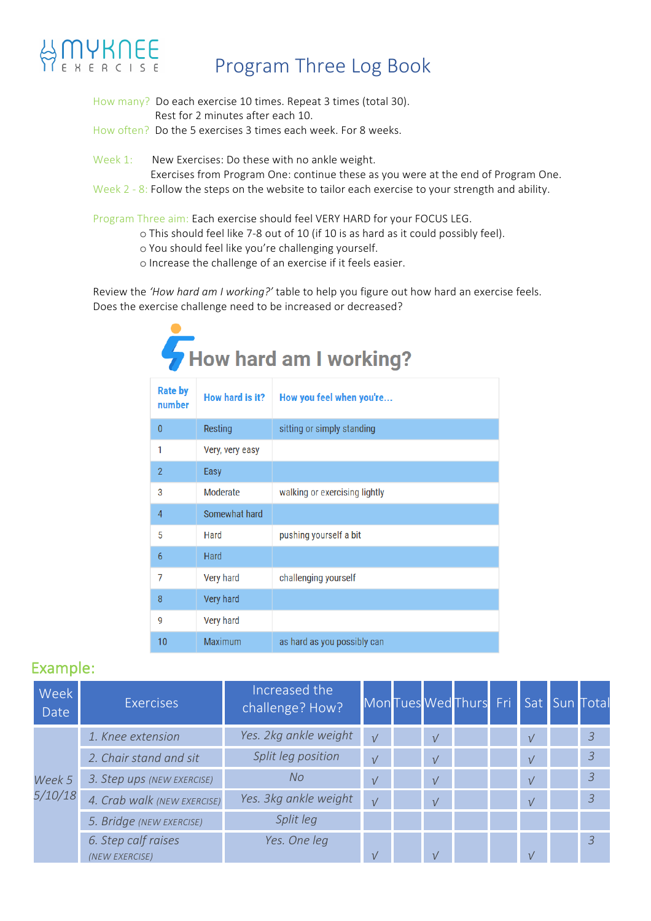## Program Three Log Book

- How many? Do each exercise 10 times. Repeat 3 times (total 30). Rest for 2 minutes after each 10.
- How often? Do the 5 exercises 3 times each week. For 8 weeks.
- Week 1: New Exercises: Do these with no ankle weight.
	- Exercises from Program One: continue these as you were at the end of Program One.
- Week  $2 8$ : Follow the steps on the website to tailor each exercise to your strength and ability.

Program Three aim: Each exercise should feel VERY HARD for your FOCUS LEG.

- o This should feel like 7-8 out of 10 (if 10 is as hard as it could possibly feel).
- o You should feel like you're challenging yourself.
- o Increase the challenge of an exercise if it feels easier.

Review the 'How hard am I working?' table to help you figure out how hard an exercise feels. Does the exercise challenge need to be increased or decreased?

| How hard am I working? |  |
|------------------------|--|
|------------------------|--|

| <b>Rate by</b><br>number | How hard is it?  | How you feel when you're      |
|--------------------------|------------------|-------------------------------|
| $\mathbf{0}$             | Resting          | sitting or simply standing    |
| 1                        | Very, very easy  |                               |
| $\overline{2}$           | Easy             |                               |
| 3                        | Moderate         | walking or exercising lightly |
| $\overline{4}$           | Somewhat hard    |                               |
| 5                        | Hard             | pushing yourself a bit        |
| 6                        | <b>Hard</b>      |                               |
| 7                        | Very hard        | challenging yourself          |
| 8                        | Very hard        |                               |
| 9                        | <b>Very hard</b> |                               |
| 10                       | Maximum          | as hard as you possibly can   |

### Example:

| Week<br>Date | <b>Exercises</b>                      | Increased the<br>challenge? How? |            |            | Mon Tues Wed Thurs Fri Sat Sun Total |              |                |
|--------------|---------------------------------------|----------------------------------|------------|------------|--------------------------------------|--------------|----------------|
|              | 1. Knee extension                     | Yes. 2kg ankle weight            | $\sqrt{ }$ | $\sqrt{ }$ |                                      | $\sqrt{ }$   | 3              |
|              | 2. Chair stand and sit                | Split leg position               | $\sqrt{ }$ | $\sqrt{ }$ |                                      | $\sqrt{ }$   | $\overline{3}$ |
| Week 5       | 3. Step ups (NEW EXERCISE)            | No.                              | $\sqrt{ }$ | $\sqrt{ }$ |                                      | $\sqrt{ }$   | $\overline{3}$ |
| 5/10/18      | 4. Crab walk (NEW EXERCISE)           | Yes. 3kg ankle weight            | $\sqrt{ }$ | $\sqrt{ }$ |                                      | $\sqrt{ }$   | $\overline{3}$ |
|              | 5. Bridge (NEW EXERCISE)              | Split leg                        |            |            |                                      |              |                |
|              | 6. Step calf raises<br>(NEW EXERCISE) | Yes. One leg                     | $\sqrt{ }$ | $\sqrt{ }$ |                                      | $\mathcal V$ | $\overline{3}$ |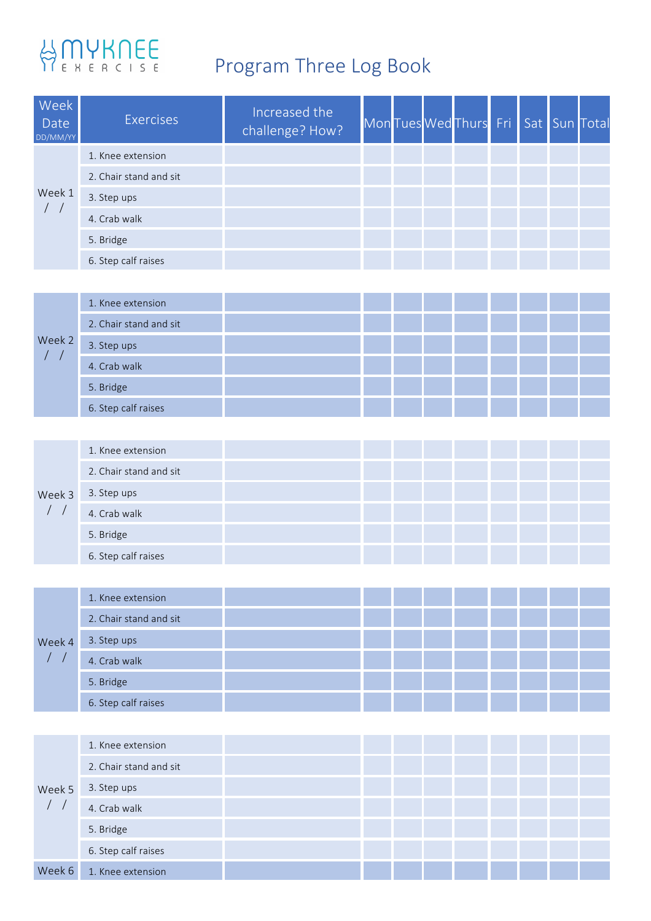# HAMYKNEE<br>REBERCISE Program Three Log Book

| Week<br>Date<br>DD/MM/YY | <b>Exercises</b>       | Increased the<br>challenge? How? |  | Mon Tues Wed Thurs Fri Sat Sun Total |  |  |
|--------------------------|------------------------|----------------------------------|--|--------------------------------------|--|--|
|                          | 1. Knee extension      |                                  |  |                                      |  |  |
|                          | 2. Chair stand and sit |                                  |  |                                      |  |  |
| Week 1                   | 3. Step ups            |                                  |  |                                      |  |  |
|                          | 4. Crab walk           |                                  |  |                                      |  |  |
|                          | 5. Bridge              |                                  |  |                                      |  |  |
|                          | 6. Step calf raises    |                                  |  |                                      |  |  |

|        | 1. Knee extension      |  |  |  |  |  |
|--------|------------------------|--|--|--|--|--|
|        | 2. Chair stand and sit |  |  |  |  |  |
| Week 2 | 3. Step ups            |  |  |  |  |  |
|        | 4. Crab walk           |  |  |  |  |  |
|        | 5. Bridge              |  |  |  |  |  |
|        | 6. Step calf raises    |  |  |  |  |  |

|        | 1. Knee extension      |  |  |  |  |  |
|--------|------------------------|--|--|--|--|--|
|        | 2. Chair stand and sit |  |  |  |  |  |
| Week 3 | 3. Step ups            |  |  |  |  |  |
|        | 4. Crab walk           |  |  |  |  |  |
|        | 5. Bridge              |  |  |  |  |  |
|        | 6. Step calf raises    |  |  |  |  |  |

|        | 1. Knee extension      |  |  |  |  |  |
|--------|------------------------|--|--|--|--|--|
|        | 2. Chair stand and sit |  |  |  |  |  |
| Week 4 | 3. Step ups            |  |  |  |  |  |
|        | 4. Crab walk           |  |  |  |  |  |
|        | 5. Bridge              |  |  |  |  |  |
|        | 6. Step calf raises    |  |  |  |  |  |

|        | 1. Knee extension      |  |  |  |  |  |
|--------|------------------------|--|--|--|--|--|
|        | 2. Chair stand and sit |  |  |  |  |  |
| Week 5 | 3. Step ups            |  |  |  |  |  |
|        | 4. Crab walk           |  |  |  |  |  |
|        | 5. Bridge              |  |  |  |  |  |
|        | 6. Step calf raises    |  |  |  |  |  |
| Week 6 | 1. Knee extension      |  |  |  |  |  |